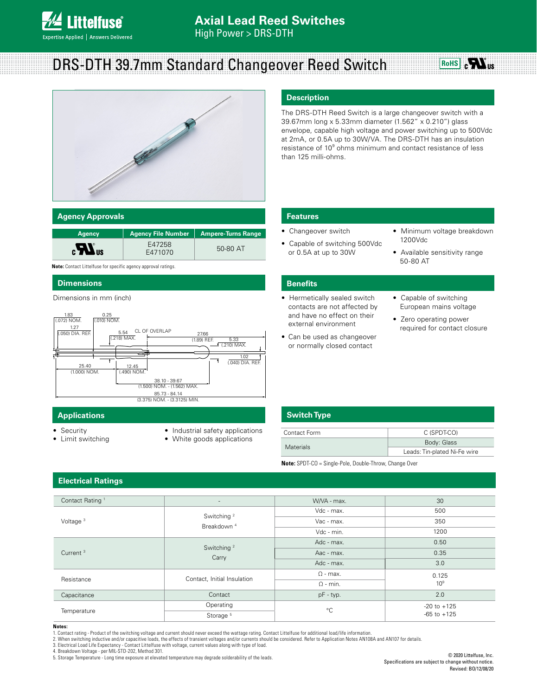

# DRS-DTH 39.7mm Standard Changeover Reed Switch





### **Agency Approvals**

| <b>Agency</b>                       | <b>Agency File Number</b> | <b>Ampere-Turns Range</b> |
|-------------------------------------|---------------------------|---------------------------|
| $\mathbf{c}$ <b>N</b> <sub>us</sub> | E47258<br>E471070         | 50-80 AT                  |

**Note:** Contact Littelfuse for specific agency approval ratings.

#### **Dimensions**

Dimensions in mm (inch)



## **Applications Switch Type**

- Security
- Limit switching
- Industrial safety applications
- White goods applications

### **Description**

The DRS-DTH Reed Switch is a large changeover switch with a 39.67mm long x 5.33mm diameter (1.562" x 0.210") glass envelope, capable high voltage and power switching up to 500Vdc at 2mA, or 0.5A up to 30W/VA. The DRS-DTH has an insulation resistance of 10<sup>9</sup> ohms minimum and contact resistance of less than 125 milli-ohms.

## **Features**

• Changeover switch

- Minimum voltage breakdown 1200Vdc
- Capable of switching 500Vdc or 0.5A at up to 30W
- 
- Available sensitivity range 50-80 AT

#### **Benefits**

- Hermetically sealed switch contacts are not affected by and have no effect on their external environment
- Can be used as changeover or normally closed contact
- Capable of switching European mains voltage
- Zero operating power required for contact closure

| Contact Form     | C (SPDT-CO)                  |  |
|------------------|------------------------------|--|
| <b>Materials</b> | Body: Glass                  |  |
|                  | Leads: Tin-plated Ni-Fe wire |  |
|                  |                              |  |

**Note:** SPDT-CO = Single-Pole, Double-Throw, Change Over

# **Electrical Ratings**

| Contact Rating <sup>1</sup> | $\overline{\phantom{a}}$                         | W/VA - max.     | 30              |
|-----------------------------|--------------------------------------------------|-----------------|-----------------|
| Voltage $3$                 | Switching <sup>2</sup><br>Breakdown <sup>4</sup> | Vdc - max.      | 500             |
|                             |                                                  | Vac - max.      | 350             |
|                             |                                                  | Vdc - min.      | 1200            |
| Current <sup>3</sup>        | Switching <sup>2</sup><br>Carry                  | Adc - max.      | 0.50            |
|                             |                                                  | Aac - max.      | 0.35            |
|                             |                                                  | Adc - max.      | 3.0             |
| Resistance                  | Contact, Initial Insulation                      | $\Omega$ - max. | 0.125           |
|                             |                                                  | $\Omega$ - min. | 10 <sup>9</sup> |
| Capacitance                 | Contact                                          | pF - typ.       | 2.0             |
| Temperature                 | Operating                                        | $^{\circ}$ C    | $-20$ to $+125$ |
|                             | Storage <sup>5</sup>                             |                 | $-65$ to $+125$ |

#### **Notes:**

1. Contact rating - Product of the switching voltage and current should never exceed the wattage rating. Contact Littelfuse for additional load/life information.

2. When switching inductive and/or capacitive loads, the effects of transient voltages and/or currents should be considered. Refer to Application Notes AN108A and AN107 for details. 3. Electrical Load Life Expectancy - Contact Littelfuse with voltage, current values along with type of load.

4. Breakdown Voltage - per MIL-STD-202, Method 301. 5. Storage Temperature - Long time exposure at elevated temperature may degrade solderability of the leads.

© 2020 Littelfuse, Inc. Specifications are subject to change without notice. Revised: BO/12/08/20